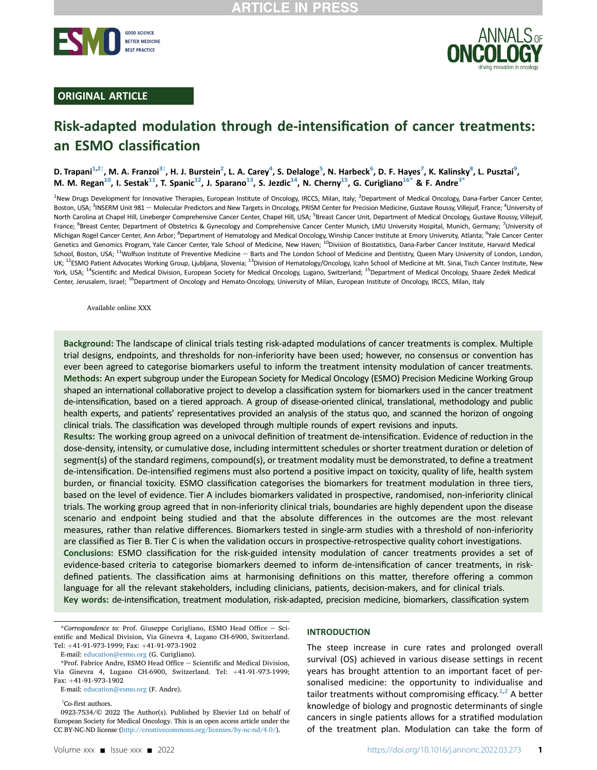



## ORIGINAL ARTICLE

# Risk-adapted modulation through de-intensification of cancer treatments: an ESMO classification

D. Trapani<sup>[1](#page-0-0),[2](#page-0-0)†</sup>, M. A. Franzoi<sup>[3](#page-0-1)†</sup>, H. J. Burstein<sup>2</sup>, L. A. Carey<sup>4</sup>, S. Delaloge<sup>[5](#page-0-2)</sup>, N. Harbeck<sup>[6](#page-0-3)</sup>, D. F. Hayes<sup>[7](#page-0-3)</sup>, K. Kalinsky<sup>8</sup>, L. Pusztai<sup>[9](#page-0-4)</sup>, M. M. Regan<sup>10</sup>, I. Sestak<sup>11</sup>, T. Spanic<sup>12</sup>, J. Sparano<sup>13</sup>, S. Jezdic<sup>14</sup>, N. Cherny<sup>15</sup>, G. Curigliano<sup>16[\\*](#page-0-11)</sup> & F. Andre<sup>[3](#page-0-1)</sup>

<span id="page-0-6"></span><span id="page-0-5"></span><span id="page-0-4"></span><span id="page-0-3"></span><span id="page-0-2"></span><span id="page-0-1"></span><span id="page-0-0"></span><sup>1</sup>New Drugs Development for Innovative Therapies, European Institute of Oncology, IRCCS, Milan, Italy; <sup>2</sup>Department of Medical Oncology, Dana-Farber Cancer Center, Boston, USA; <sup>3</sup>INSERM Unit 981 - Molecular Predictors and New Targets in Oncology, PRISM Center for Precision Medicine, Gustave Roussy, Villejuif, France; <sup>4</sup>University of North Carolina at Chapel Hill, Lineberger Comprehensive Cancer Center, Chapel Hill, USA; <sup>5</sup>Breast Cancer Unit, Department of Medical Oncology, Gustave Roussy, Villejuif, France; <sup>6</sup>Breast Center, Department of Obstetrics & Gynecology and Comprehensive Cancer Center Munich, LMU University Hospital, Munich, Germany; <sup>7</sup>University of Michigan Rogel Cancer Center, Ann Arbor; <sup>8</sup>Department of Hematology and Medical Oncology, Winship Cancer Institute at Emory University, Atlanta; <sup>9</sup>Yale Cancer Center Genetics and Genomics Program, Yale Cancer Center, Yale School of Medicine, New Haven; <sup>10</sup>Division of Biostatistics, Dana-Farber Cancer Institute, Harvard Medical School, Boston, USA; <sup>11</sup>Wolfson Institute of Preventive Medicine - Barts and The London School of Medicine and Dentistry, Queen Mary University of London, London, UK; <sup>12</sup>ESMO Patient Advocates Working Group, Ljubljana, Slovenia; <sup>13</sup>Division of Hematology/Oncology, Icahn School of Medicine at Mt. Sinai, Tisch Cancer Institute, New York, USA; <sup>14</sup>Scientific and Medical Division, European Society for Medical Oncology, Lugano, Switzerland; <sup>15</sup>Department of Medical Oncology, Shaare Zedek Medical Center, Jerusalem, Israel; <sup>16</sup>Department of Oncology and Hemato-Oncology, University of Milan, European Institute of Oncology, IRCCS, Milan, Italy

<span id="page-0-9"></span><span id="page-0-8"></span><span id="page-0-7"></span>Available online XXX

Background: The landscape of clinical trials testing risk-adapted modulations of cancer treatments is complex. Multiple trial designs, endpoints, and thresholds for non-inferiority have been used; however, no consensus or convention has ever been agreed to categorise biomarkers useful to inform the treatment intensity modulation of cancer treatments. Methods: An expert subgroup under the European Society for Medical Oncology (ESMO) Precision Medicine Working Group shaped an international collaborative project to develop a classification system for biomarkers used in the cancer treatment de-intensification, based on a tiered approach. A group of disease-oriented clinical, translational, methodology and public health experts, and patients' representatives provided an analysis of the status quo, and scanned the horizon of ongoing clinical trials. The classification was developed through multiple rounds of expert revisions and inputs.

Results: The working group agreed on a univocal definition of treatment de-intensification. Evidence of reduction in the dose-density, intensity, or cumulative dose, including intermittent schedules or shorter treatment duration or deletion of segment(s) of the standard regimens, compound(s), or treatment modality must be demonstrated, to define a treatment de-intensification. De-intensified regimens must also portend a positive impact on toxicity, quality of life, health system burden, or financial toxicity. ESMO classification categorises the biomarkers for treatment modulation in three tiers, based on the level of evidence. Tier A includes biomarkers validated in prospective, randomised, non-inferiority clinical trials. The working group agreed that in non-inferiority clinical trials, boundaries are highly dependent upon the disease scenario and endpoint being studied and that the absolute differences in the outcomes are the most relevant measures, rather than relative differences. Biomarkers tested in single-arm studies with a threshold of non-inferiority are classified as Tier B. Tier C is when the validation occurs in prospective-retrospective quality cohort investigations. Conclusions: ESMO classification for the risk-guided intensity modulation of cancer treatments provides a set of evidence-based criteria to categorise biomarkers deemed to inform de-intensification of cancer treatments, in riskdefined patients. The classification aims at harmonising definitions on this matter, therefore offering a common language for all the relevant stakeholders, including clinicians, patients, decision-makers, and for clinical trials. Key words: de-intensification, treatment modulation, risk-adapted, precision medicine, biomarkers, classification system

<span id="page-0-10"></span> $*$ Correspondence to: Prof. Giuseppe Curigliano, ESMO Head Office  $-$  Scientific and Medical Division, Via Ginevra 4, Lugano CH-6900, Switzerland. Tel: +41-91-973-1999; Fax: +41-91-973-1902

E-mail: [education@esmo.org](mailto:education@esmo.org) (G. Curigliano).

E-mail: [education@esmo.org](mailto:education@esmo.org) (F. Andre).

<sup>†</sup>Co-first authors.

### INTRODUCTION

The steep increase in cure rates and prolonged overall survival (OS) achieved in various disease settings in recent years has brought attention to an important facet of personalised medicine: the opportunity to individualise and tailor treatments without compromising efficacy.<sup>[1,](#page-8-0)[2](#page-8-1)</sup> A better knowledge of biology and prognostic determinants of single cancers in single patients allows for a stratified modulation of the treatment plan. Modulation can take the form of

<span id="page-0-11"></span><sup>\*</sup>Prof. Fabrice Andre, ESMO Head Office - Scientific and Medical Division, Via Ginevra 4, Lugano CH-6900, Switzerland. Tel: +41-91-973-1999; Fax: +41-91-973-1902

<sup>0923-7534/© 2022</sup> The Author(s). Published by Elsevier Ltd on behalf of European Society for Medical Oncology. This is an open access article under the CC BY-NC-ND license (<http://creativecommons.org/licenses/by-nc-nd/4.0/>).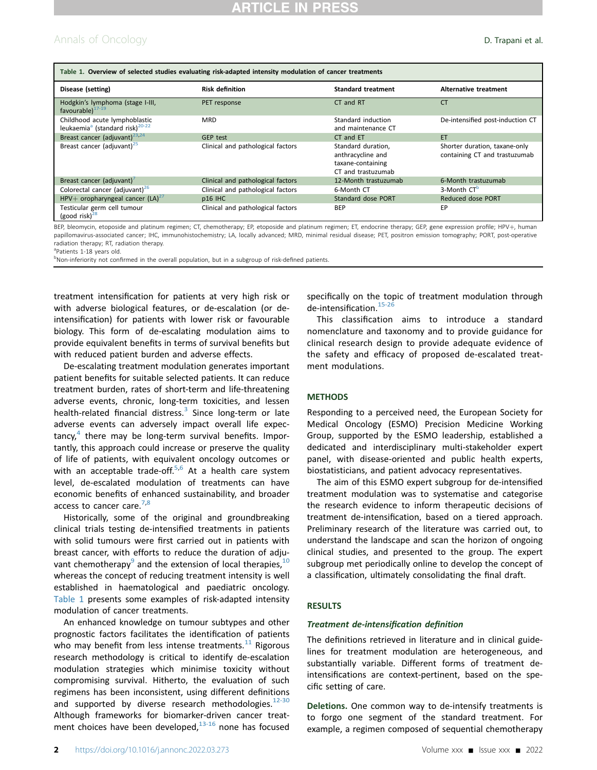## Annals of Oncology **D. Trapani et al.**

<span id="page-1-0"></span>

| Table 1. Overview of selected studies evaluating risk-adapted intensity modulation of cancer treatments |                                   |                                                                                    |                                                                |  |  |  |
|---------------------------------------------------------------------------------------------------------|-----------------------------------|------------------------------------------------------------------------------------|----------------------------------------------------------------|--|--|--|
| Disease (setting)                                                                                       | <b>Risk definition</b>            | <b>Standard treatment</b>                                                          | Alternative treatment                                          |  |  |  |
| Hodgkin's lymphoma (stage I-III,<br>favourable) <sup>17-19</sup>                                        | PET response                      | CT and RT                                                                          | <b>CT</b>                                                      |  |  |  |
| Childhood acute lymphoblastic<br>leukaemia <sup>a</sup> (standard risk) <sup>20-22</sup>                | <b>MRD</b>                        | Standard induction<br>and maintenance CT                                           | De-intensified post-induction CT                               |  |  |  |
| Breast cancer (adjuvant) <sup>23,24</sup>                                                               | <b>GEP test</b>                   | CT and ET                                                                          | ET                                                             |  |  |  |
| Breast cancer (adjuvant) <sup>25</sup>                                                                  | Clinical and pathological factors | Standard duration,<br>anthracycline and<br>taxane-containing<br>CT and trastuzumab | Shorter duration, taxane-only<br>containing CT and trastuzumab |  |  |  |
| Breast cancer (adjuvant)                                                                                | Clinical and pathological factors | 12-Month trastuzumab                                                               | 6-Month trastuzumab                                            |  |  |  |
| Colorectal cancer (adjuvant) <sup>26</sup>                                                              | Clinical and pathological factors | 6-Month CT                                                                         | 3-Month CT <sup>b</sup>                                        |  |  |  |
| HPV+ oropharyngeal cancer $(LA)^{27}$                                                                   | p16 IHC                           | Standard dose PORT                                                                 | Reduced dose PORT                                              |  |  |  |
| Testicular germ cell tumour<br>(good risk) $^{28}$                                                      | Clinical and pathological factors | <b>BEP</b>                                                                         | EP                                                             |  |  |  |

BEP, bleomycin, etoposide and platinum regimen; CT, chemotherapy; EP, etoposide and platinum regimen; ET, endocrine therapy; GEP, gene expression profile; HPV+, human papillomavirus-associated cancer; IHC, immunohistochemistry; LA, locally advanced; MRD, minimal residual disease; PET, positron emission tomography; PORT, post-operative radiation therapy; RT, radiation therapy.

<span id="page-1-1"></span><sup>a</sup>Patients 1-18 years old.

<span id="page-1-2"></span><sup>b</sup>Non-inferiority not confirmed in the overall population, but in a subgroup of risk-defined patients.

treatment intensification for patients at very high risk or with adverse biological features, or de-escalation (or deintensification) for patients with lower risk or favourable biology. This form of de-escalating modulation aims to provide equivalent benefits in terms of survival benefits but with reduced patient burden and adverse effects.

De-escalating treatment modulation generates important patient benefits for suitable selected patients. It can reduce treatment burden, rates of short-term and life-threatening adverse events, chronic, long-term toxicities, and lessen health-related financial distress.<sup>[3](#page-8-2)</sup> Since long-term or late adverse events can adversely impact overall life expec- $\arctan{cy}$  there may be long-term survival benefits. Importantly, this approach could increase or preserve the quality of life of patients, with equivalent oncology outcomes or with an acceptable trade-off. $5,6$  $5,6$  At a health care system level, de-escalated modulation of treatments can have economic benefits of enhanced sustainability, and broader access to cancer care. $7,8$  $7,8$ 

Historically, some of the original and groundbreaking clinical trials testing de-intensified treatments in patients with solid tumours were first carried out in patients with breast cancer, with efforts to reduce the duration of adju-vant chemotherapy<sup>[9](#page-8-8)</sup> and the extension of local therapies,  $10$ whereas the concept of reducing treatment intensity is well established in haematological and paediatric oncology. [Table 1](#page-1-0) presents some examples of risk-adapted intensity modulation of cancer treatments.

An enhanced knowledge on tumour subtypes and other prognostic factors facilitates the identification of patients who may benefit from less intense treatments. $^{11}$  $^{11}$  $^{11}$  Rigorous research methodology is critical to identify de-escalation modulation strategies which minimise toxicity without compromising survival. Hitherto, the evaluation of such regimens has been inconsistent, using different definitions and supported by diverse research methodologies. $12-30$ Although frameworks for biomarker-driven cancer treatment choices have been developed, $13-16$  none has focused

specifically on the topic of treatment modulation through de-intensification.<sup>[15-26](#page-8-13)</sup>

This classification aims to introduce a standard nomenclature and taxonomy and to provide guidance for clinical research design to provide adequate evidence of the safety and efficacy of proposed de-escalated treatment modulations.

### **METHODS**

Responding to a perceived need, the European Society for Medical Oncology (ESMO) Precision Medicine Working Group, supported by the ESMO leadership, established a dedicated and interdisciplinary multi-stakeholder expert panel, with disease-oriented and public health experts, biostatisticians, and patient advocacy representatives.

The aim of this ESMO expert subgroup for de-intensified treatment modulation was to systematise and categorise the research evidence to inform therapeutic decisions of treatment de-intensification, based on a tiered approach. Preliminary research of the literature was carried out, to understand the landscape and scan the horizon of ongoing clinical studies, and presented to the group. The expert subgroup met periodically online to develop the concept of a classification, ultimately consolidating the final draft.

### RESULTS

#### Treatment de-intensification definition

The definitions retrieved in literature and in clinical guidelines for treatment modulation are heterogeneous, and substantially variable. Different forms of treatment deintensifications are context-pertinent, based on the specific setting of care.

Deletions. One common way to de-intensify treatments is to forgo one segment of the standard treatment. For example, a regimen composed of sequential chemotherapy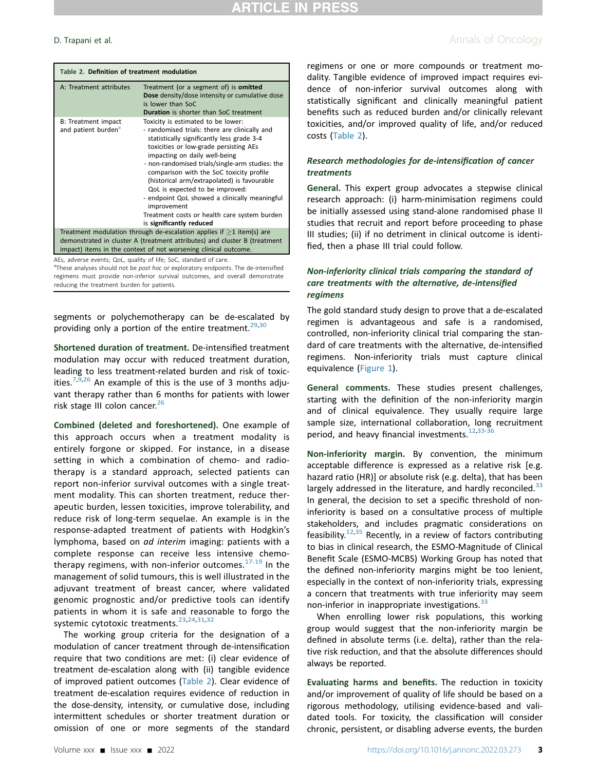<span id="page-2-0"></span>

| Table 2. Definition of treatment modulation                                                                                                                                                                                |                                                                                                                                                                                                                                                                                                                                                                                                                                                                                                                                           |  |
|----------------------------------------------------------------------------------------------------------------------------------------------------------------------------------------------------------------------------|-------------------------------------------------------------------------------------------------------------------------------------------------------------------------------------------------------------------------------------------------------------------------------------------------------------------------------------------------------------------------------------------------------------------------------------------------------------------------------------------------------------------------------------------|--|
| A: Treatment attributes                                                                                                                                                                                                    | Treatment (or a segment of) is <b>omitted</b><br>Dose density/dose intensity or cumulative dose<br>is lower than SoC<br><b>Duration</b> is shorter than SoC treatment                                                                                                                                                                                                                                                                                                                                                                     |  |
| B: Treatment impact<br>and patient burden <sup>a</sup>                                                                                                                                                                     | Toxicity is estimated to be lower:<br>- randomised trials: there are clinically and<br>statistically significantly less grade 3-4<br>toxicities or low-grade persisting AEs<br>impacting on daily well-being<br>- non-randomised trials/single-arm studies: the<br>comparison with the SoC toxicity profile<br>(historical arm/extrapolated) is favourable<br>QoL is expected to be improved:<br>- endpoint QoL showed a clinically meaningful<br>improvement<br>Treatment costs or health care system burden<br>is significantly reduced |  |
| Treatment modulation through de-escalation applies if $\geq 1$ item(s) are<br>demonstrated in cluster A (treatment attributes) and cluster B (treatment<br>impact) items in the context of not worsening clinical outcome. |                                                                                                                                                                                                                                                                                                                                                                                                                                                                                                                                           |  |

AEs, adverse events; QoL, quality of life; SoC, standard of care.

<span id="page-2-1"></span><sup>a</sup>These analyses should not be post hoc or exploratory endpoints. The de-intensified regimens must provide non-inferior survival outcomes, and overall demonstrate reducing the treatment burden for patients.

segments or polychemotherapy can be de-escalated by providing only a portion of the entire treatment.<sup>[29](#page-9-7),[30](#page-9-8)</sup>

Shortened duration of treatment. De-intensified treatment modulation may occur with reduced treatment duration, leading to less treatment-related burden and risk of toxic-ities.<sup>[7](#page-8-6),[9](#page-8-8)[,26](#page-9-4)</sup> An example of this is the use of 3 months adjuvant therapy rather than 6 months for patients with lower risk stage III colon cancer.<sup>[26](#page-9-4)</sup>

Combined (deleted and foreshortened). One example of this approach occurs when a treatment modality is entirely forgone or skipped. For instance, in a disease setting in which a combination of chemo- and radiotherapy is a standard approach, selected patients can report non-inferior survival outcomes with a single treatment modality. This can shorten treatment, reduce therapeutic burden, lessen toxicities, improve tolerability, and reduce risk of long-term sequelae. An example is in the response-adapted treatment of patients with Hodgkin's lymphoma, based on ad interim imaging: patients with a complete response can receive less intensive chemotherapy regimens, with non-inferior outcomes. $17-19$  In the management of solid tumours, this is well illustrated in the adjuvant treatment of breast cancer, where validated genomic prognostic and/or predictive tools can identify patients in whom it is safe and reasonable to forgo the systemic cytotoxic treatments.<sup>[23,](#page-9-1)[24](#page-9-2)[,31](#page-9-9),[32](#page-9-10)</sup>

The working group criteria for the designation of a modulation of cancer treatment through de-intensification require that two conditions are met: (i) clear evidence of treatment de-escalation along with (ii) tangible evidence of improved patient outcomes ([Table 2](#page-2-0)). Clear evidence of treatment de-escalation requires evidence of reduction in the dose-density, intensity, or cumulative dose, including intermittent schedules or shorter treatment duration or omission of one or more segments of the standard

### **D. Trapani et al.** Annals of Oncology

regimens or one or more compounds or treatment modality. Tangible evidence of improved impact requires evidence of non-inferior survival outcomes along with statistically significant and clinically meaningful patient benefits such as reduced burden and/or clinically relevant toxicities, and/or improved quality of life, and/or reduced costs ([Table 2\)](#page-2-0).

### Research methodologies for de-intensification of cancer treatments

General. This expert group advocates a stepwise clinical research approach: (i) harm-minimisation regimens could be initially assessed using stand-alone randomised phase II studies that recruit and report before proceeding to phase III studies; (ii) if no detriment in clinical outcome is identified, then a phase III trial could follow.

### Non-inferiority clinical trials comparing the standard of care treatments with the alternative, de-intensified regimens

The gold standard study design to prove that a de-escalated regimen is advantageous and safe is a randomised, controlled, non-inferiority clinical trial comparing the standard of care treatments with the alternative, de-intensified regimens. Non-inferiority trials must capture clinical equivalence ([Figure 1\)](#page-3-0).

General comments. These studies present challenges, starting with the definition of the non-inferiority margin and of clinical equivalence. They usually require large sample size, international collaboration, long recruitment period, and heavy financial investments.<sup>[12](#page-8-11),[33-36](#page-9-11)</sup>

Non-inferiority margin. By convention, the minimum acceptable difference is expressed as a relative risk [e.g. hazard ratio (HR)] or absolute risk (e.g. delta), that has been largely addressed in the literature, and hardly reconciled. $33$ In general, the decision to set a specific threshold of noninferiority is based on a consultative process of multiple stakeholders, and includes pragmatic considerations on feasibility.<sup>[12,](#page-8-11)[35](#page-9-12)</sup> Recently, in a review of factors contributing to bias in clinical research, the ESMO-Magnitude of Clinical Benefit Scale (ESMO-MCBS) Working Group has noted that the defined non-inferiority margins might be too lenient, especially in the context of non-inferiority trials, expressing a concern that treatments with true inferiority may seem non-inferior in inappropriate investigations.<sup>[33](#page-9-11)</sup>

When enrolling lower risk populations, this working group would suggest that the non-inferiority margin be defined in absolute terms (i.e. delta), rather than the relative risk reduction, and that the absolute differences should always be reported.

Evaluating harms and benefits. The reduction in toxicity and/or improvement of quality of life should be based on a rigorous methodology, utilising evidence-based and validated tools. For toxicity, the classification will consider chronic, persistent, or disabling adverse events, the burden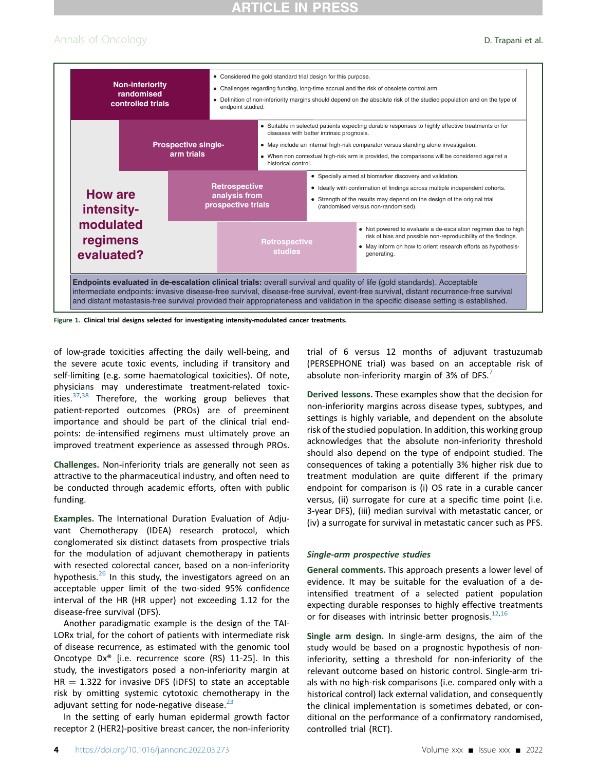## Annals of Oncology **D. Trapani et al.**

<span id="page-3-0"></span>

Figure 1. Clinical trial designs selected for investigating intensity-modulated cancer treatments.

of low-grade toxicities affecting the daily well-being, and the severe acute toxic events, including if transitory and self-limiting (e.g. some haematological toxicities). Of note, physicians may underestimate treatment-related toxicities. $37,38$  $37,38$  Therefore, the working group believes that patient-reported outcomes (PROs) are of preeminent importance and should be part of the clinical trial endpoints: de-intensified regimens must ultimately prove an improved treatment experience as assessed through PROs.

Challenges. Non-inferiority trials are generally not seen as attractive to the pharmaceutical industry, and often need to be conducted through academic efforts, often with public funding.

Examples. The International Duration Evaluation of Adjuvant Chemotherapy (IDEA) research protocol, which conglomerated six distinct datasets from prospective trials for the modulation of adjuvant chemotherapy in patients with resected colorectal cancer, based on a non-inferiority hypothesis.<sup>[26](#page-9-4)</sup> In this study, the investigators agreed on an acceptable upper limit of the two-sided 95% confidence interval of the HR (HR upper) not exceeding 1.12 for the disease-free survival (DFS).

Another paradigmatic example is the design of the TAI-LORx trial, for the cohort of patients with intermediate risk of disease recurrence, as estimated with the genomic tool Oncotype Dx® [i.e. recurrence score (RS) 11-25]. In this study, the investigators posed a non-inferiority margin at  $HR = 1.322$  for invasive DFS (iDFS) to state an acceptable risk by omitting systemic cytotoxic chemotherapy in the adjuvant setting for node-negative disease. $^{23}$  $^{23}$  $^{23}$ 

In the setting of early human epidermal growth factor receptor 2 (HER2)-positive breast cancer, the non-inferiority trial of 6 versus 12 months of adjuvant trastuzumab (PERSEPHONE trial) was based on an acceptable risk of absolute non-inferiority margin of 3% of DFS. $<sup>7</sup>$  $<sup>7</sup>$  $<sup>7</sup>$ </sup>

Derived lessons. These examples show that the decision for non-inferiority margins across disease types, subtypes, and settings is highly variable, and dependent on the absolute risk of the studied population. In addition, this working group acknowledges that the absolute non-inferiority threshold should also depend on the type of endpoint studied. The consequences of taking a potentially 3% higher risk due to treatment modulation are quite different if the primary endpoint for comparison is (i) OS rate in a curable cancer versus, (ii) surrogate for cure at a specific time point (i.e. 3-year DFS), (iii) median survival with metastatic cancer, or (iv) a surrogate for survival in metastatic cancer such as PFS.

#### Single-arm prospective studies

General comments. This approach presents a lower level of evidence. It may be suitable for the evaluation of a deintensified treatment of a selected patient population expecting durable responses to highly effective treatments or for diseases with intrinsic better prognosis. $12,16$  $12,16$ 

Single arm design. In single-arm designs, the aim of the study would be based on a prognostic hypothesis of noninferiority, setting a threshold for non-inferiority of the relevant outcome based on historic control. Single-arm trials with no high-risk comparisons (i.e. compared only with a historical control) lack external validation, and consequently the clinical implementation is sometimes debated, or conditional on the performance of a confirmatory randomised, controlled trial (RCT).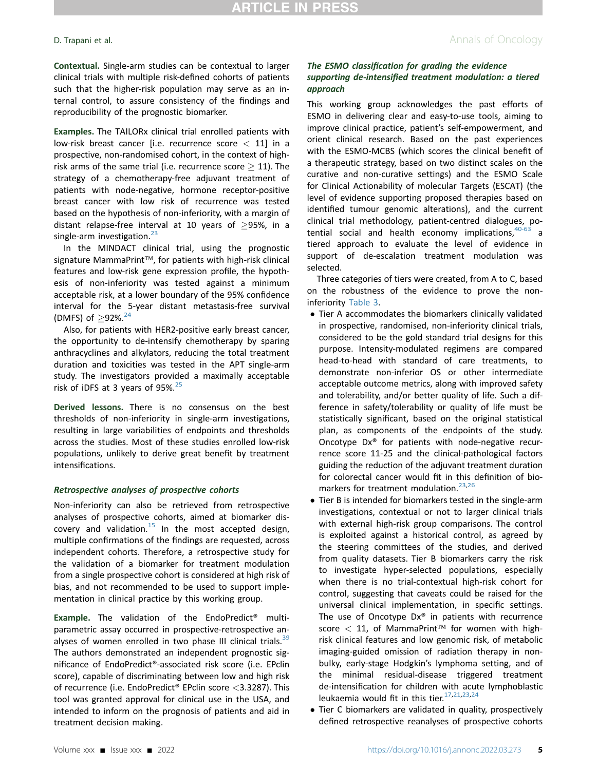## **D. Trapani et al.** Annals of Oncology

Contextual. Single-arm studies can be contextual to larger clinical trials with multiple risk-defined cohorts of patients such that the higher-risk population may serve as an internal control, to assure consistency of the findings and reproducibility of the prognostic biomarker.

Examples. The TAILORx clinical trial enrolled patients with low-risk breast cancer [i.e. recurrence score  $<$  11] in a prospective, non-randomised cohort, in the context of highrisk arms of the same trial (i.e. recurrence score  $\geq 11$ ). The strategy of a chemotherapy-free adjuvant treatment of patients with node-negative, hormone receptor-positive breast cancer with low risk of recurrence was tested based on the hypothesis of non-inferiority, with a margin of distant relapse-free interval at 10 years of  $\geq$ 95%, in a single-arm investigation. $23$ 

In the MINDACT clinical trial, using the prognostic signature MammaPrint<sup>TM</sup>, for patients with high-risk clinical features and low-risk gene expression profile, the hypothesis of non-inferiority was tested against a minimum acceptable risk, at a lower boundary of the 95% confidence interval for the 5-year distant metastasis-free survival (DMFS) of  $\geq$ 92%.<sup>[24](#page-9-2)</sup>

Also, for patients with HER2-positive early breast cancer, the opportunity to de-intensify chemotherapy by sparing anthracyclines and alkylators, reducing the total treatment duration and toxicities was tested in the APT single-arm study. The investigators provided a maximally acceptable risk of iDFS at 3 years of  $95\%$ .<sup>[25](#page-9-3)</sup>

Derived lessons. There is no consensus on the best thresholds of non-inferiority in single-arm investigations, resulting in large variabilities of endpoints and thresholds across the studies. Most of these studies enrolled low-risk populations, unlikely to derive great benefit by treatment intensifications.

#### Retrospective analyses of prospective cohorts

Non-inferiority can also be retrieved from retrospective analyses of prospective cohorts, aimed at biomarker discovery and validation. $15$  In the most accepted design, multiple confirmations of the findings are requested, across independent cohorts. Therefore, a retrospective study for the validation of a biomarker for treatment modulation from a single prospective cohort is considered at high risk of bias, and not recommended to be used to support implementation in clinical practice by this working group.

Example. The validation of the EndoPredict® multiparametric assay occurred in prospective-retrospective analyses of women enrolled in two phase III clinical trials. $39$ The authors demonstrated an independent prognostic significance of EndoPredict®-associated risk score (i.e. EPclin score), capable of discriminating between low and high risk of recurrence (i.e. EndoPredict® EPclin score <3.3287). This tool was granted approval for clinical use in the USA, and intended to inform on the prognosis of patients and aid in treatment decision making.

### The ESMO classification for grading the evidence supporting de-intensified treatment modulation: a tiered approach

This working group acknowledges the past efforts of ESMO in delivering clear and easy-to-use tools, aiming to improve clinical practice, patient's self-empowerment, and orient clinical research. Based on the past experiences with the ESMO-MCBS (which scores the clinical benefit of a therapeutic strategy, based on two distinct scales on the curative and non-curative settings) and the ESMO Scale for Clinical Actionability of molecular Targets (ESCAT) (the level of evidence supporting proposed therapies based on identified tumour genomic alterations), and the current clinical trial methodology, patient-centred dialogues, potential social and health economy implications, $40-63$  a tiered approach to evaluate the level of evidence in support of de-escalation treatment modulation was selected.

Three categories of tiers were created, from A to C, based on the robustness of the evidence to prove the noninferiority [Table 3](#page-5-0).

- Tier A accommodates the biomarkers clinically validated in prospective, randomised, non-inferiority clinical trials, considered to be the gold standard trial designs for this purpose. Intensity-modulated regimens are compared head-to-head with standard of care treatments, to demonstrate non-inferior OS or other intermediate acceptable outcome metrics, along with improved safety and tolerability, and/or better quality of life. Such a difference in safety/tolerability or quality of life must be statistically significant, based on the original statistical plan, as components of the endpoints of the study. Oncotype Dx® for patients with node-negative recurrence score 11-25 and the clinical-pathological factors guiding the reduction of the adjuvant treatment duration for colorectal cancer would fit in this definition of bio-markers for treatment modulation.<sup>[23](#page-9-1),[26](#page-9-4)</sup>
- Tier B is intended for biomarkers tested in the single-arm investigations, contextual or not to larger clinical trials with external high-risk group comparisons. The control is exploited against a historical control, as agreed by the steering committees of the studies, and derived from quality datasets. Tier B biomarkers carry the risk to investigate hyper-selected populations, especially when there is no trial-contextual high-risk cohort for control, suggesting that caveats could be raised for the universal clinical implementation, in specific settings. The use of Oncotype  $Dx^{\circ}$  in patients with recurrence score  $<$  11, of MammaPrint<sup>TM</sup> for women with highrisk clinical features and low genomic risk, of metabolic imaging-guided omission of radiation therapy in nonbulky, early-stage Hodgkin's lymphoma setting, and of the minimal residual-disease triggered treatment de-intensification for children with acute lymphoblastic leukaemia would fit in this tier. $17,21,23,24$  $17,21,23,24$  $17,21,23,24$  $17,21,23,24$
- Tier C biomarkers are validated in quality, prospectively defined retrospective reanalyses of prospective cohorts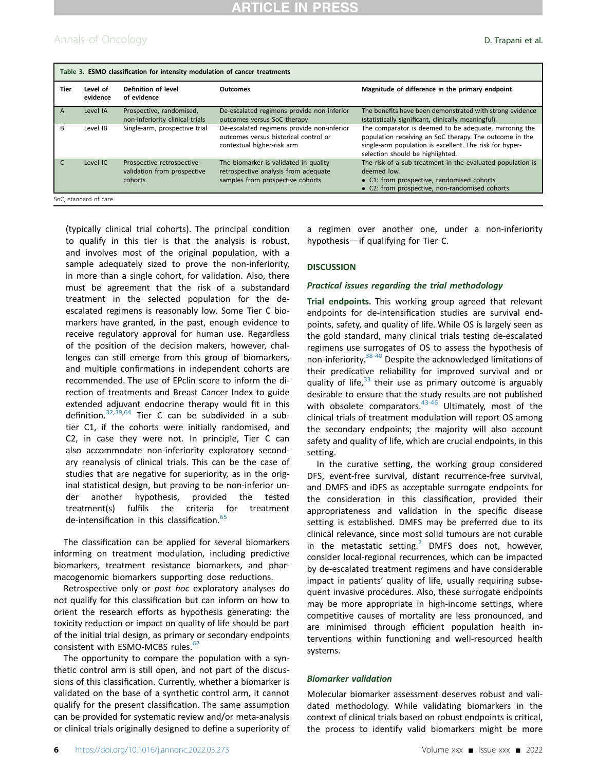## Annals of Oncology **D. Trapani et al.**

<span id="page-5-0"></span>

| Table 3. ESMO classification for intensity modulation of cancer treatments |                      |                                                                     |                                                                                                                   |                                                                                                                                                                                                                  |  |
|----------------------------------------------------------------------------|----------------------|---------------------------------------------------------------------|-------------------------------------------------------------------------------------------------------------------|------------------------------------------------------------------------------------------------------------------------------------------------------------------------------------------------------------------|--|
| Tier                                                                       | Level of<br>evidence | Definition of level<br>of evidence                                  | <b>Outcomes</b>                                                                                                   | Magnitude of difference in the primary endpoint                                                                                                                                                                  |  |
| A                                                                          | Level IA             | Prospective, randomised,<br>non-inferiority clinical trials         | De-escalated regimens provide non-inferior<br>outcomes versus SoC therapy                                         | The benefits have been demonstrated with strong evidence<br>(statistically significant, clinically meaningful).                                                                                                  |  |
| B                                                                          | Level IB             | Single-arm, prospective trial                                       | De-escalated regimens provide non-inferior<br>outcomes versus historical control or<br>contextual higher-risk arm | The comparator is deemed to be adequate, mirroring the<br>population receiving an SoC therapy. The outcome in the<br>single-arm population is excellent. The risk for hyper-<br>selection should be highlighted. |  |
|                                                                            | Level IC             | Prospective-retrospective<br>validation from prospective<br>cohorts | The biomarker is validated in quality<br>retrospective analysis from adequate<br>samples from prospective cohorts | The risk of a sub-treatment in the evaluated population is<br>deemed low.<br>• C1: from prospective, randomised cohorts<br>• C2: from prospective, non-randomised cohorts                                        |  |
| SoC, standard of care.                                                     |                      |                                                                     |                                                                                                                   |                                                                                                                                                                                                                  |  |

(typically clinical trial cohorts). The principal condition to qualify in this tier is that the analysis is robust, and involves most of the original population, with a sample adequately sized to prove the non-inferiority, in more than a single cohort, for validation. Also, there must be agreement that the risk of a substandard treatment in the selected population for the deescalated regimens is reasonably low. Some Tier C biomarkers have granted, in the past, enough evidence to receive regulatory approval for human use. Regardless of the position of the decision makers, however, challenges can still emerge from this group of biomarkers, and multiple confirmations in independent cohorts are recommended. The use of EPclin score to inform the direction of treatments and Breast Cancer Index to guide extended adjuvant endocrine therapy would fit in this definition.[32](#page-9-10),[39](#page-9-15)[,64](#page-10-0) Tier C can be subdivided in a subtier C1, if the cohorts were initially randomised, and C2, in case they were not. In principle, Tier C can also accommodate non-inferiority exploratory secondary reanalysis of clinical trials. This can be the case of studies that are negative for superiority, as in the original statistical design, but proving to be non-inferior under another hypothesis, provided the tested treatment(s) fulfils the criteria for treatment de-intensification in this classification.<sup>[65](#page-10-1)</sup>

The classification can be applied for several biomarkers informing on treatment modulation, including predictive biomarkers, treatment resistance biomarkers, and pharmacogenomic biomarkers supporting dose reductions.

Retrospective only or post hoc exploratory analyses do not qualify for this classification but can inform on how to orient the research efforts as hypothesis generating: the toxicity reduction or impact on quality of life should be part of the initial trial design, as primary or secondary endpoints consistent with ESMO-MCBS rules.<sup>[62](#page-10-2)</sup>

The opportunity to compare the population with a synthetic control arm is still open, and not part of the discussions of this classification. Currently, whether a biomarker is validated on the base of a synthetic control arm, it cannot qualify for the present classification. The same assumption can be provided for systematic review and/or meta-analysis or clinical trials originally designed to define a superiority of a regimen over another one, under a non-inferiority hypothesis-if qualifying for Tier C.

#### **DISCUSSION**

#### Practical issues regarding the trial methodology

Trial endpoints. This working group agreed that relevant endpoints for de-intensification studies are survival endpoints, safety, and quality of life. While OS is largely seen as the gold standard, many clinical trials testing de-escalated regimens use surrogates of OS to assess the hypothesis of non-inferiority.[38-40](#page-9-14) Despite the acknowledged limitations of their predicative reliability for improved survival and or quality of life, $33$  their use as primary outcome is arguably desirable to ensure that the study results are not published with obsolete comparators. $43-46$  Ultimately, most of the clinical trials of treatment modulation will report OS among the secondary endpoints; the majority will also account safety and quality of life, which are crucial endpoints, in this setting.

In the curative setting, the working group considered DFS, event-free survival, distant recurrence-free survival, and DMFS and iDFS as acceptable surrogate endpoints for the consideration in this classification, provided their appropriateness and validation in the specific disease setting is established. DMFS may be preferred due to its clinical relevance, since most solid tumours are not curable in the metastatic setting. $2$  DMFS does not, however, consider local-regional recurrences, which can be impacted by de-escalated treatment regimens and have considerable impact in patients' quality of life, usually requiring subsequent invasive procedures. Also, these surrogate endpoints may be more appropriate in high-income settings, where competitive causes of mortality are less pronounced, and are minimised through efficient population health interventions within functioning and well-resourced health systems.

#### Biomarker validation

Molecular biomarker assessment deserves robust and validated methodology. While validating biomarkers in the context of clinical trials based on robust endpoints is critical, the process to identify valid biomarkers might be more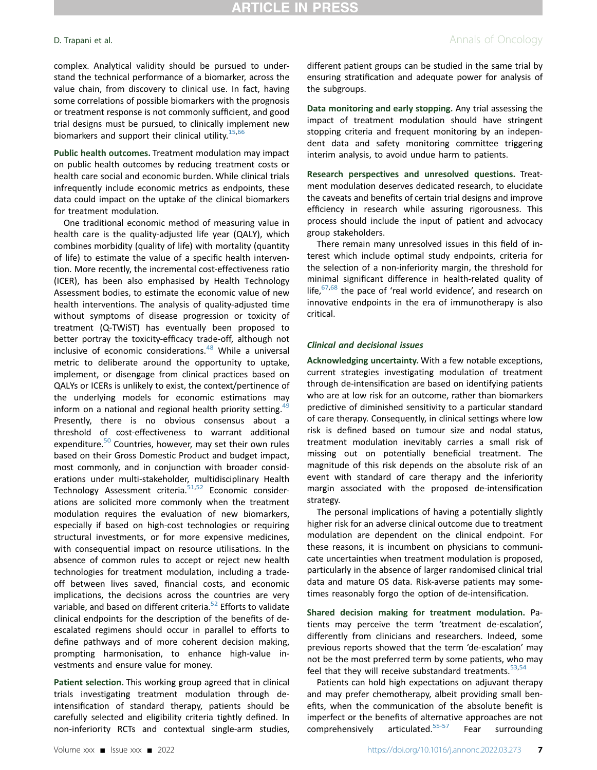complex. Analytical validity should be pursued to understand the technical performance of a biomarker, across the value chain, from discovery to clinical use. In fact, having some correlations of possible biomarkers with the prognosis or treatment response is not commonly sufficient, and good trial designs must be pursued, to clinically implement new biomarkers and support their clinical utility.<sup>[15,](#page-8-13)[66](#page-10-3)</sup>

Public health outcomes. Treatment modulation may impact on public health outcomes by reducing treatment costs or health care social and economic burden. While clinical trials infrequently include economic metrics as endpoints, these data could impact on the uptake of the clinical biomarkers for treatment modulation.

One traditional economic method of measuring value in health care is the quality-adjusted life year (QALY), which combines morbidity (quality of life) with mortality (quantity of life) to estimate the value of a specific health intervention. More recently, the incremental cost-effectiveness ratio (ICER), has been also emphasised by Health Technology Assessment bodies, to estimate the economic value of new health interventions. The analysis of quality-adjusted time without symptoms of disease progression or toxicity of treatment (Q-TWiST) has eventually been proposed to better portray the toxicity-efficacy trade-off, although not inclusive of economic considerations.<sup>[48](#page-9-19)</sup> While a universal metric to deliberate around the opportunity to uptake, implement, or disengage from clinical practices based on QALYs or ICERs is unlikely to exist, the context/pertinence of the underlying models for economic estimations may inform on a national and regional health priority setting. $49$ Presently, there is no obvious consensus about a threshold of cost-effectiveness to warrant additional expenditure.<sup>50</sup> Countries, however, may set their own rules based on their Gross Domestic Product and budget impact, most commonly, and in conjunction with broader considerations under multi-stakeholder, multidisciplinary Health Technology Assessment criteria.<sup>51[,52](#page-9-23)</sup> Economic considerations are solicited more commonly when the treatment modulation requires the evaluation of new biomarkers, especially if based on high-cost technologies or requiring structural investments, or for more expensive medicines, with consequential impact on resource utilisations. In the absence of common rules to accept or reject new health technologies for treatment modulation, including a tradeoff between lives saved, financial costs, and economic implications, the decisions across the countries are very variable, and based on different criteria.<sup>52</sup> Efforts to validate clinical endpoints for the description of the benefits of deescalated regimens should occur in parallel to efforts to define pathways and of more coherent decision making, prompting harmonisation, to enhance high-value investments and ensure value for money.

Patient selection. This working group agreed that in clinical trials investigating treatment modulation through deintensification of standard therapy, patients should be carefully selected and eligibility criteria tightly defined. In non-inferiority RCTs and contextual single-arm studies,

different patient groups can be studied in the same trial by ensuring stratification and adequate power for analysis of the subgroups.

Data monitoring and early stopping. Any trial assessing the impact of treatment modulation should have stringent stopping criteria and frequent monitoring by an independent data and safety monitoring committee triggering interim analysis, to avoid undue harm to patients.

Research perspectives and unresolved questions. Treatment modulation deserves dedicated research, to elucidate the caveats and benefits of certain trial designs and improve efficiency in research while assuring rigorousness. This process should include the input of patient and advocacy group stakeholders.

There remain many unresolved issues in this field of interest which include optimal study endpoints, criteria for the selection of a non-inferiority margin, the threshold for minimal significant difference in health-related quality of life,  $67,68$  $67,68$  the pace of 'real world evidence', and research on innovative endpoints in the era of immunotherapy is also critical.

#### Clinical and decisional issues

Acknowledging uncertainty. With a few notable exceptions, current strategies investigating modulation of treatment through de-intensification are based on identifying patients who are at low risk for an outcome, rather than biomarkers predictive of diminished sensitivity to a particular standard of care therapy. Consequently, in clinical settings where low risk is defined based on tumour size and nodal status, treatment modulation inevitably carries a small risk of missing out on potentially beneficial treatment. The magnitude of this risk depends on the absolute risk of an event with standard of care therapy and the inferiority margin associated with the proposed de-intensification strategy.

The personal implications of having a potentially slightly higher risk for an adverse clinical outcome due to treatment modulation are dependent on the clinical endpoint. For these reasons, it is incumbent on physicians to communicate uncertainties when treatment modulation is proposed, particularly in the absence of larger randomised clinical trial data and mature OS data. Risk-averse patients may sometimes reasonably forgo the option of de-intensification.

Shared decision making for treatment modulation. Patients may perceive the term 'treatment de-escalation', differently from clinicians and researchers. Indeed, some previous reports showed that the term 'de-escalation' may not be the most preferred term by some patients, who may feel that they will receive substandard treatments. $53,54$  $53,54$  $53,54$ 

Patients can hold high expectations on adjuvant therapy and may prefer chemotherapy, albeit providing small benefits, when the communication of the absolute benefit is imperfect or the benefits of alternative approaches are not comprehensively articulated. $\frac{55-57}{ }$  $\frac{55-57}{ }$  $\frac{55-57}{ }$  Fear surrounding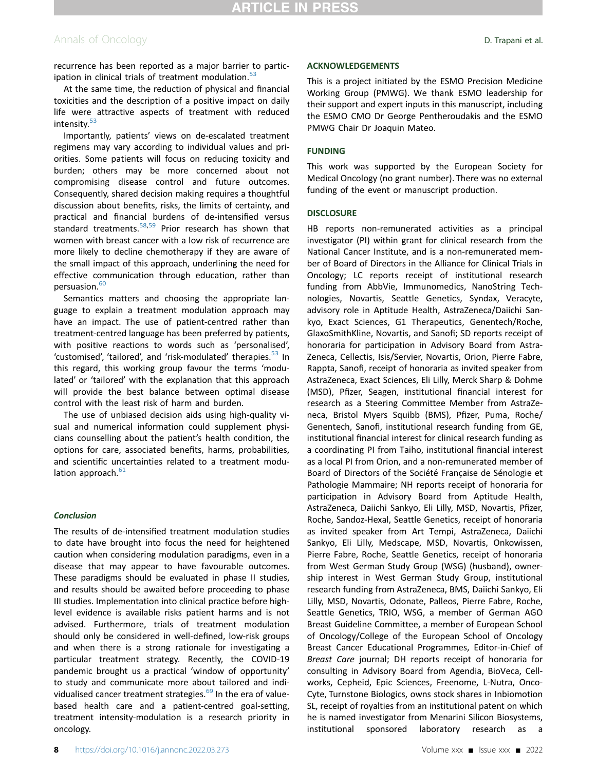## Annals of Oncology **D. Trapani et al.**

recurrence has been reported as a major barrier to participation in clinical trials of treatment modulation. $53$ 

At the same time, the reduction of physical and financial toxicities and the description of a positive impact on daily life were attractive aspects of treatment with reduced intensity.<sup>[53](#page-9-24)</sup>

Importantly, patients' views on de-escalated treatment regimens may vary according to individual values and priorities. Some patients will focus on reducing toxicity and burden; others may be more concerned about not compromising disease control and future outcomes. Consequently, shared decision making requires a thoughtful discussion about benefits, risks, the limits of certainty, and practical and financial burdens of de-intensified versus standard treatments. $58,59$  $58,59$  Prior research has shown that women with breast cancer with a low risk of recurrence are more likely to decline chemotherapy if they are aware of the small impact of this approach, underlining the need for effective communication through education, rather than persuasion.<sup>[60](#page-10-8)</sup>

Semantics matters and choosing the appropriate language to explain a treatment modulation approach may have an impact. The use of patient-centred rather than treatment-centred language has been preferred by patients, with positive reactions to words such as 'personalised', 'customised', 'tailored', and 'risk-modulated' therapies.<sup>[53](#page-9-24)</sup> In this regard, this working group favour the terms 'modulated' or 'tailored' with the explanation that this approach will provide the best balance between optimal disease control with the least risk of harm and burden.

The use of unbiased decision aids using high-quality visual and numerical information could supplement physicians counselling about the patient's health condition, the options for care, associated benefits, harms, probabilities, and scientific uncertainties related to a treatment modu-lation approach.<sup>[61](#page-10-9)</sup>

#### **Conclusion**

The results of de-intensified treatment modulation studies to date have brought into focus the need for heightened caution when considering modulation paradigms, even in a disease that may appear to have favourable outcomes. These paradigms should be evaluated in phase II studies, and results should be awaited before proceeding to phase III studies. Implementation into clinical practice before highlevel evidence is available risks patient harms and is not advised. Furthermore, trials of treatment modulation should only be considered in well-defined, low-risk groups and when there is a strong rationale for investigating a particular treatment strategy. Recently, the COVID-19 pandemic brought us a practical 'window of opportunity' to study and communicate more about tailored and indi-vidualised cancer treatment strategies.<sup>[69](#page-10-10)</sup> In the era of valuebased health care and a patient-centred goal-setting, treatment intensity-modulation is a research priority in oncology.

#### ACKNOWLEDGEMENTS

This is a project initiated by the ESMO Precision Medicine Working Group (PMWG). We thank ESMO leadership for their support and expert inputs in this manuscript, including the ESMO CMO Dr George Pentheroudakis and the ESMO PMWG Chair Dr Joaquin Mateo.

#### FUNDING

This work was supported by the European Society for Medical Oncology (no grant number). There was no external funding of the event or manuscript production.

#### **DISCLOSURE**

HB reports non-remunerated activities as a principal investigator (PI) within grant for clinical research from the National Cancer Institute, and is a non-remunerated member of Board of Directors in the Alliance for Clinical Trials in Oncology; LC reports receipt of institutional research funding from AbbVie, Immunomedics, NanoString Technologies, Novartis, Seattle Genetics, Syndax, Veracyte, advisory role in Aptitude Health, AstraZeneca/Daiichi Sankyo, Exact Sciences, G1 Therapeutics, Genentech/Roche, GlaxoSmithKline, Novartis, and Sanofi; SD reports receipt of honoraria for participation in Advisory Board from Astra-Zeneca, Cellectis, Isis/Servier, Novartis, Orion, Pierre Fabre, Rappta, Sanofi, receipt of honoraria as invited speaker from AstraZeneca, Exact Sciences, Eli Lilly, Merck Sharp & Dohme (MSD), Pfizer, Seagen, institutional financial interest for research as a Steering Committee Member from AstraZeneca, Bristol Myers Squibb (BMS), Pfizer, Puma, Roche/ Genentech, Sanofi, institutional research funding from GE, institutional financial interest for clinical research funding as a coordinating PI from Taiho, institutional financial interest as a local PI from Orion, and a non-remunerated member of Board of Directors of the Société Française de Sénologie et Pathologie Mammaire; NH reports receipt of honoraria for participation in Advisory Board from Aptitude Health, AstraZeneca, Daiichi Sankyo, Eli Lilly, MSD, Novartis, Pfizer, Roche, Sandoz-Hexal, Seattle Genetics, receipt of honoraria as invited speaker from Art Tempi, AstraZeneca, Daiichi Sankyo, Eli Lilly, Medscape, MSD, Novartis, Onkowissen, Pierre Fabre, Roche, Seattle Genetics, receipt of honoraria from West German Study Group (WSG) (husband), ownership interest in West German Study Group, institutional research funding from AstraZeneca, BMS, Daiichi Sankyo, Eli Lilly, MSD, Novartis, Odonate, Palleos, Pierre Fabre, Roche, Seattle Genetics, TRIO, WSG, a member of German AGO Breast Guideline Committee, a member of European School of Oncology/College of the European School of Oncology Breast Cancer Educational Programmes, Editor-in-Chief of Breast Care journal; DH reports receipt of honoraria for consulting in Advisory Board from Agendia, BioVeca, Cellworks, Cepheid, Epic Sciences, Freenome, L-Nutra, Onco-Cyte, Turnstone Biologics, owns stock shares in Inbiomotion SL, receipt of royalties from an institutional patent on which he is named investigator from Menarini Silicon Biosystems, institutional sponsored laboratory research as a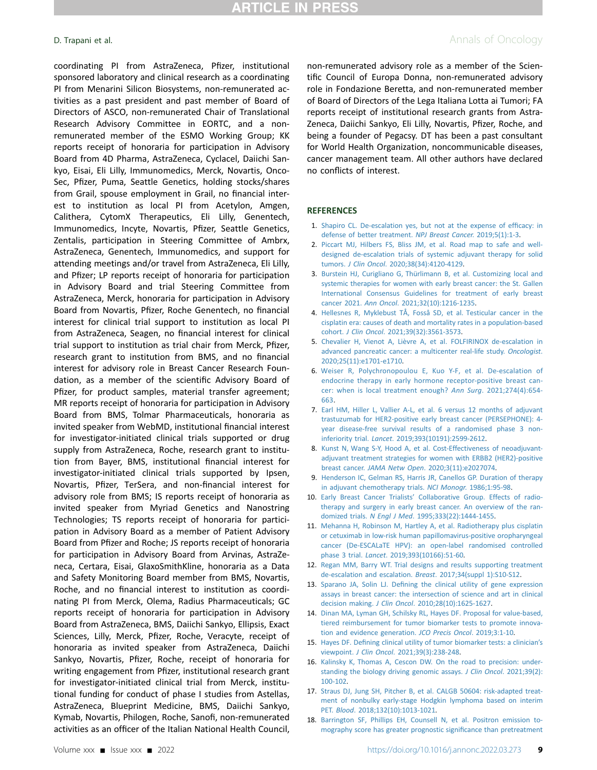coordinating PI from AstraZeneca, Pfizer, institutional sponsored laboratory and clinical research as a coordinating PI from Menarini Silicon Biosystems, non-remunerated activities as a past president and past member of Board of Directors of ASCO, non-remunerated Chair of Translational Research Advisory Committee in EORTC, and a nonremunerated member of the ESMO Working Group; KK reports receipt of honoraria for participation in Advisory Board from 4D Pharma, AstraZeneca, Cyclacel, Daiichi Sankyo, Eisai, Eli Lilly, Immunomedics, Merck, Novartis, Onco-Sec, Pfizer, Puma, Seattle Genetics, holding stocks/shares from Grail, spouse employment in Grail, no financial interest to institution as local PI from Acetylon, Amgen, Calithera, CytomX Therapeutics, Eli Lilly, Genentech, Immunomedics, Incyte, Novartis, Pfizer, Seattle Genetics, Zentalis, participation in Steering Committee of Ambrx, AstraZeneca, Genentech, Immunomedics, and support for attending meetings and/or travel from AstraZeneca, Eli Lilly, and Pfizer; LP reports receipt of honoraria for participation in Advisory Board and trial Steering Committee from AstraZeneca, Merck, honoraria for participation in Advisory Board from Novartis, Pfizer, Roche Genentech, no financial interest for clinical trial support to institution as local PI from AstraZeneca, Seagen, no financial interest for clinical trial support to institution as trial chair from Merck, Pfizer, research grant to institution from BMS, and no financial interest for advisory role in Breast Cancer Research Foundation, as a member of the scientific Advisory Board of Pfizer, for product samples, material transfer agreement; MR reports receipt of honoraria for participation in Advisory Board from BMS, Tolmar Pharmaceuticals, honoraria as invited speaker from WebMD, institutional financial interest for investigator-initiated clinical trials supported or drug supply from AstraZeneca, Roche, research grant to institution from Bayer, BMS, institutional financial interest for investigator-initiated clinical trials supported by Ipsen, Novartis, Pfizer, TerSera, and non-financial interest for advisory role from BMS; IS reports receipt of honoraria as invited speaker from Myriad Genetics and Nanostring Technologies; TS reports receipt of honoraria for participation in Advisory Board as a member of Patient Advisory Board from Pfizer and Roche; JS reports receipt of honoraria for participation in Advisory Board from Arvinas, AstraZeneca, Certara, Eisai, GlaxoSmithKline, honoraria as a Data and Safety Monitoring Board member from BMS, Novartis, Roche, and no financial interest to institution as coordinating PI from Merck, Olema, Radius Pharmaceuticals; GC reports receipt of honoraria for participation in Advisory Board from AstraZeneca, BMS, Daiichi Sankyo, Ellipsis, Exact Sciences, Lilly, Merck, Pfizer, Roche, Veracyte, receipt of honoraria as invited speaker from AstraZeneca, Daiichi Sankyo, Novartis, Pfizer, Roche, receipt of honoraria for writing engagement from Pfizer, institutional research grant for investigator-initiated clinical trial from Merck, institutional funding for conduct of phase I studies from Astellas, AstraZeneca, Blueprint Medicine, BMS, Daiichi Sankyo, Kymab, Novartis, Philogen, Roche, Sanofi, non-remunerated activities as an officer of the Italian National Health Council,

**D. Trapani et al.** Annals of Oncology

non-remunerated advisory role as a member of the Scientific Council of Europa Donna, non-remunerated advisory role in Fondazione Beretta, and non-remunerated member of Board of Directors of the Lega Italiana Lotta ai Tumori; FA reports receipt of institutional research grants from Astra-Zeneca, Daiichi Sankyo, Eli Lilly, Novartis, Pfizer, Roche, and being a founder of Pegacsy. DT has been a past consultant for World Health Organization, noncommunicable diseases, cancer management team. All other authors have declared no conflicts of interest.

#### <span id="page-8-0"></span>**REFERENCES**

- <span id="page-8-1"></span>1. [Shapiro CL. De-escalation yes, but not at the expense of ef](http://refhub.elsevier.com/S0923-7534(22)00669-X/sref1)ficacy: in [defense of better treatment.](http://refhub.elsevier.com/S0923-7534(22)00669-X/sref1) NPJ Breast Cancer. 2019;5(1):1-3.
- <span id="page-8-2"></span>2. [Piccart MJ, Hilbers FS, Bliss JM, et al. Road map to safe and well](http://refhub.elsevier.com/S0923-7534(22)00669-X/sref2)[designed de-escalation trials of systemic adjuvant therapy for solid](http://refhub.elsevier.com/S0923-7534(22)00669-X/sref2) tumors. J Clin Oncol[. 2020;38\(34\):4120-4129.](http://refhub.elsevier.com/S0923-7534(22)00669-X/sref2)
- 3. [Burstein HJ, Curigliano G, Thürlimann B, et al. Customizing local and](http://refhub.elsevier.com/S0923-7534(22)00669-X/sref3) [systemic therapies for women with early breast cancer: the St. Gallen](http://refhub.elsevier.com/S0923-7534(22)00669-X/sref3) [International Consensus Guidelines for treatment of early breast](http://refhub.elsevier.com/S0923-7534(22)00669-X/sref3) cancer 2021. Ann Oncol[. 2021;32\(10\):1216-1235](http://refhub.elsevier.com/S0923-7534(22)00669-X/sref3).
- <span id="page-8-4"></span><span id="page-8-3"></span>4. [Hellesnes R, Myklebust TÅ, Fosså SD, et al. Testicular cancer in the](http://refhub.elsevier.com/S0923-7534(22)00669-X/sref4) [cisplatin era: causes of death and mortality rates in a population-based](http://refhub.elsevier.com/S0923-7534(22)00669-X/sref4) cohort. J Clin Oncol[. 2021;39\(32\):3561-3573.](http://refhub.elsevier.com/S0923-7534(22)00669-X/sref4)
- <span id="page-8-5"></span>5. [Chevalier H, Vienot A, Lièvre A, et al. FOLFIRINOX de-escalation in](http://refhub.elsevier.com/S0923-7534(22)00669-X/sref5) [advanced pancreatic cancer: a multicenter real-life study.](http://refhub.elsevier.com/S0923-7534(22)00669-X/sref5) Oncologist. [2020;25\(11\):e1701-e1710.](http://refhub.elsevier.com/S0923-7534(22)00669-X/sref5)
- 6. [Weiser R, Polychronopoulou E, Kuo Y-F, et al. De-escalation of](http://refhub.elsevier.com/S0923-7534(22)00669-X/sref6) [endocrine therapy in early hormone receptor-positive breast can](http://refhub.elsevier.com/S0923-7534(22)00669-X/sref6)[cer: when is local treatment enough?](http://refhub.elsevier.com/S0923-7534(22)00669-X/sref6) Ann Surg. 2021;274(4):654- [663](http://refhub.elsevier.com/S0923-7534(22)00669-X/sref6).
- <span id="page-8-6"></span>7. [Earl HM, Hiller L, Vallier A-L, et al. 6 versus 12 months of adjuvant](http://refhub.elsevier.com/S0923-7534(22)00669-X/sref7) [trastuzumab for HER2-positive early breast cancer \(PERSEPHONE\): 4](http://refhub.elsevier.com/S0923-7534(22)00669-X/sref7) [year disease-free survival results of a randomised phase 3 non](http://refhub.elsevier.com/S0923-7534(22)00669-X/sref7)inferiority trial. Lancet[. 2019;393\(10191\):2599-2612.](http://refhub.elsevier.com/S0923-7534(22)00669-X/sref7)
- <span id="page-8-8"></span><span id="page-8-7"></span>8. [Kunst N, Wang S-Y, Hood A, et al. Cost-Effectiveness of neoadjuvant](http://refhub.elsevier.com/S0923-7534(22)00669-X/sref8)[adjuvant treatment strategies for women with ERBB2 \(HER2\)-positive](http://refhub.elsevier.com/S0923-7534(22)00669-X/sref8) breast cancer. JAMA Netw Open[. 2020;3\(11\):e2027074](http://refhub.elsevier.com/S0923-7534(22)00669-X/sref8).
- <span id="page-8-9"></span>9. [Henderson IC, Gelman RS, Harris JR, Canellos GP. Duration of therapy](http://refhub.elsevier.com/S0923-7534(22)00669-X/sref9) [in adjuvant chemotherapy trials.](http://refhub.elsevier.com/S0923-7534(22)00669-X/sref9) NCI Monogr. 1986;1:95-98.
- <span id="page-8-10"></span>10. Early Breast Cancer Trialists' [Collaborative Group. Effects of radio](http://refhub.elsevier.com/S0923-7534(22)00669-X/sref10)[therapy and surgery in early breast cancer. An overview of the ran](http://refhub.elsevier.com/S0923-7534(22)00669-X/sref10)domized trials. N Engl J Med[. 1995;333\(22\):1444-1455.](http://refhub.elsevier.com/S0923-7534(22)00669-X/sref10)
- 11. [Mehanna H, Robinson M, Hartley A, et al. Radiotherapy plus cisplatin](http://refhub.elsevier.com/S0923-7534(22)00669-X/sref11) [or cetuximab in low-risk human papillomavirus-positive oropharyngeal](http://refhub.elsevier.com/S0923-7534(22)00669-X/sref11) [cancer \(De-ESCALaTE HPV\): an open-label randomised controlled](http://refhub.elsevier.com/S0923-7534(22)00669-X/sref11) phase 3 trial. Lancet[. 2019;393\(10166\):51-60](http://refhub.elsevier.com/S0923-7534(22)00669-X/sref11).
- <span id="page-8-12"></span><span id="page-8-11"></span>12. [Regan MM, Barry WT. Trial designs and results supporting treatment](http://refhub.elsevier.com/S0923-7534(22)00669-X/sref12) [de-escalation and escalation.](http://refhub.elsevier.com/S0923-7534(22)00669-X/sref12) Breast. 2017;34(suppl 1):S10-S12.
- 13. Sparano JA, Solin LJ. Defi[ning the clinical utility of gene expression](http://refhub.elsevier.com/S0923-7534(22)00669-X/sref13) [assays in breast cancer: the intersection of science and art in clinical](http://refhub.elsevier.com/S0923-7534(22)00669-X/sref13) decision making. J Clin Oncol[. 2010;28\(10\):1625-1627.](http://refhub.elsevier.com/S0923-7534(22)00669-X/sref13)
- <span id="page-8-13"></span>14. [Dinan MA, Lyman GH, Schilsky RL, Hayes DF. Proposal for value-based,](http://refhub.elsevier.com/S0923-7534(22)00669-X/sref14) [tiered reimbursement for tumor biomarker tests to promote innova](http://refhub.elsevier.com/S0923-7534(22)00669-X/sref14)[tion and evidence generation.](http://refhub.elsevier.com/S0923-7534(22)00669-X/sref14) JCO Precis Oncol. 2019;3:1-10.
- <span id="page-8-15"></span>15. Hayes DF. Defi[ning clinical utility of tumor biomarker tests: a clinician](http://refhub.elsevier.com/S0923-7534(22)00669-X/sref15)'s viewpoint. J Clin Oncol[. 2021;39\(3\):238-248](http://refhub.elsevier.com/S0923-7534(22)00669-X/sref15).
- <span id="page-8-14"></span>16. [Kalinsky K, Thomas A, Cescon DW. On the road to precision: under](http://refhub.elsevier.com/S0923-7534(22)00669-X/sref16)[standing the biology driving genomic assays.](http://refhub.elsevier.com/S0923-7534(22)00669-X/sref16) J Clin Oncol. 2021;39(2): [100-102.](http://refhub.elsevier.com/S0923-7534(22)00669-X/sref16)
- 17. [Straus DJ, Jung SH, Pitcher B, et al. CALGB 50604: risk-adapted treat](http://refhub.elsevier.com/S0923-7534(22)00669-X/sref17)[ment of nonbulky early-stage Hodgkin lymphoma based on interim](http://refhub.elsevier.com/S0923-7534(22)00669-X/sref17) PET. Blood[. 2018;132\(10\):1013-1021.](http://refhub.elsevier.com/S0923-7534(22)00669-X/sref17)
- 18. [Barrington SF, Phillips EH, Counsell N, et al. Positron emission to](http://refhub.elsevier.com/S0923-7534(22)00669-X/sref18)[mography score has greater prognostic signi](http://refhub.elsevier.com/S0923-7534(22)00669-X/sref18)ficance than pretreatment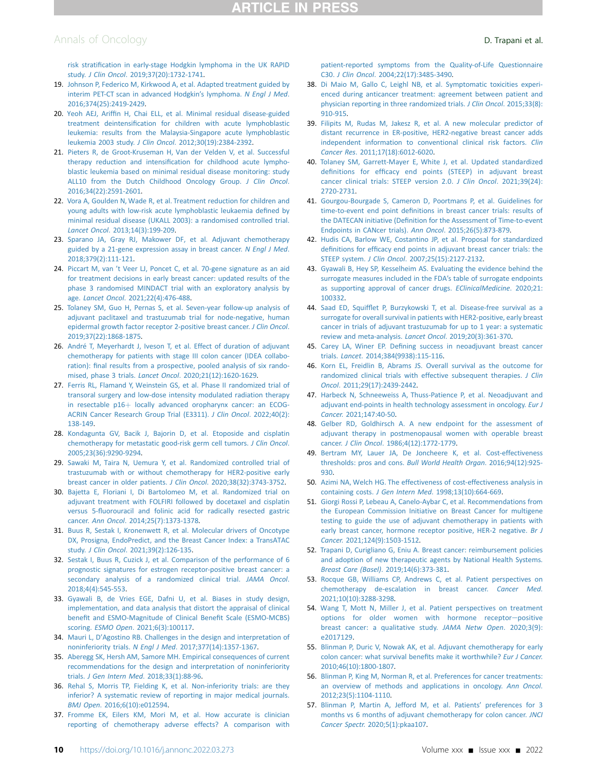## Annals of Oncology **D. Trapani et al.**

- 19. [Johnson P, Federico M, Kirkwood A, et al. Adapted treatment guided by](http://refhub.elsevier.com/S0923-7534(22)00669-X/sref19) [interim PET-CT scan in advanced Hodgkin](http://refhub.elsevier.com/S0923-7534(22)00669-X/sref19)'s lymphoma. N Engl J Med. [2016;374\(25\):2419-2429](http://refhub.elsevier.com/S0923-7534(22)00669-X/sref19).
- <span id="page-9-0"></span>20. Yeoh AEJ, Ariffi[n H, Chai ELL, et al. Minimal residual disease-guided](http://refhub.elsevier.com/S0923-7534(22)00669-X/sref20) treatment deintensifi[cation for children with acute lymphoblastic](http://refhub.elsevier.com/S0923-7534(22)00669-X/sref20) [leukemia: results from the Malaysia-Singapore acute lymphoblastic](http://refhub.elsevier.com/S0923-7534(22)00669-X/sref20) leukemia 2003 study. J Clin Oncol[. 2012;30\(19\):2384-2392.](http://refhub.elsevier.com/S0923-7534(22)00669-X/sref20)
- <span id="page-9-17"></span>21. [Pieters R, de Groot-Kruseman H, Van der Velden V, et al. Successful](http://refhub.elsevier.com/S0923-7534(22)00669-X/sref21) therapy reduction and intensifi[cation for childhood acute lympho](http://refhub.elsevier.com/S0923-7534(22)00669-X/sref21)[blastic leukemia based on minimal residual disease monitoring: study](http://refhub.elsevier.com/S0923-7534(22)00669-X/sref21) [ALL10 from the Dutch Childhood Oncology Group.](http://refhub.elsevier.com/S0923-7534(22)00669-X/sref21) J Clin Oncol. [2016;34\(22\):2591-2601](http://refhub.elsevier.com/S0923-7534(22)00669-X/sref21).
- 22. [Vora A, Goulden N, Wade R, et al. Treatment reduction for children and](http://refhub.elsevier.com/S0923-7534(22)00669-X/sref22) [young adults with low-risk acute lymphoblastic leukaemia de](http://refhub.elsevier.com/S0923-7534(22)00669-X/sref22)fined by [minimal residual disease \(UKALL 2003\): a randomised controlled trial.](http://refhub.elsevier.com/S0923-7534(22)00669-X/sref22) Lancet Oncol[. 2013;14\(3\):199-209](http://refhub.elsevier.com/S0923-7534(22)00669-X/sref22).
- <span id="page-9-1"></span>23. [Sparano JA, Gray RJ, Makower DF, et al. Adjuvant chemotherapy](http://refhub.elsevier.com/S0923-7534(22)00669-X/sref23) [guided by a 21-gene expression assay in breast cancer.](http://refhub.elsevier.com/S0923-7534(22)00669-X/sref23) N Engl J Med. [2018;379\(2\):111-121](http://refhub.elsevier.com/S0923-7534(22)00669-X/sref23).
- <span id="page-9-2"></span>24. Piccart M, van '[t Veer LJ, Poncet C, et al. 70-gene signature as an aid](http://refhub.elsevier.com/S0923-7534(22)00669-X/sref24) [for treatment decisions in early breast cancer: updated results of the](http://refhub.elsevier.com/S0923-7534(22)00669-X/sref24) [phase 3 randomised MINDACT trial with an exploratory analysis by](http://refhub.elsevier.com/S0923-7534(22)00669-X/sref24) age. Lancet Oncol[. 2021;22\(4\):476-488](http://refhub.elsevier.com/S0923-7534(22)00669-X/sref24).
- <span id="page-9-3"></span>25. [Tolaney SM, Guo H, Pernas S, et al. Seven-year follow-up analysis of](http://refhub.elsevier.com/S0923-7534(22)00669-X/sref25) [adjuvant paclitaxel and trastuzumab trial for node-negative, human](http://refhub.elsevier.com/S0923-7534(22)00669-X/sref25) [epidermal growth factor receptor 2-positive breast cancer.](http://refhub.elsevier.com/S0923-7534(22)00669-X/sref25) J Clin Oncol. [2019;37\(22\):1868-1875](http://refhub.elsevier.com/S0923-7534(22)00669-X/sref25).
- <span id="page-9-4"></span>26. [André T, Meyerhardt J, Iveson T, et al. Effect of duration of adjuvant](http://refhub.elsevier.com/S0923-7534(22)00669-X/sref26) [chemotherapy for patients with stage III colon cancer \(IDEA collabo](http://refhub.elsevier.com/S0923-7534(22)00669-X/sref26)ration): fi[nal results from a prospective, pooled analysis of six rando](http://refhub.elsevier.com/S0923-7534(22)00669-X/sref26)mised, phase 3 trials. Lancet Oncol[. 2020;21\(12\):1620-1629](http://refhub.elsevier.com/S0923-7534(22)00669-X/sref26).
- <span id="page-9-5"></span>27. [Ferris RL, Flamand Y, Weinstein GS, et al. Phase II randomized trial of](http://refhub.elsevier.com/S0923-7534(22)00669-X/sref27) [transoral surgery and low-dose intensity modulated radiation therapy](http://refhub.elsevier.com/S0923-7534(22)00669-X/sref27) in resectable  $p16+$  [locally advanced oropharynx cancer: an ECOG-](http://refhub.elsevier.com/S0923-7534(22)00669-X/sref27)[ACRIN Cancer Research Group Trial \(E3311\).](http://refhub.elsevier.com/S0923-7534(22)00669-X/sref27) J Clin Oncol. 2022;40(2): [138-149.](http://refhub.elsevier.com/S0923-7534(22)00669-X/sref27)
- <span id="page-9-6"></span>28. [Kondagunta GV, Bacik J, Bajorin D, et al. Etoposide and cisplatin](http://refhub.elsevier.com/S0923-7534(22)00669-X/sref28) [chemotherapy for metastatic good-risk germ cell tumors.](http://refhub.elsevier.com/S0923-7534(22)00669-X/sref28) J Clin Oncol. [2005;23\(36\):9290-9294](http://refhub.elsevier.com/S0923-7534(22)00669-X/sref28).
- <span id="page-9-7"></span>29. [Sawaki M, Taira N, Uemura Y, et al. Randomized controlled trial of](http://refhub.elsevier.com/S0923-7534(22)00669-X/sref29) [trastuzumab with or without chemotherapy for HER2-positive early](http://refhub.elsevier.com/S0923-7534(22)00669-X/sref29) [breast cancer in older patients.](http://refhub.elsevier.com/S0923-7534(22)00669-X/sref29) J Clin Oncol. 2020;38(32):3743-3752.
- <span id="page-9-8"></span>30. [Bajetta E, Floriani I, Di Bartolomeo M, et al. Randomized trial on](http://refhub.elsevier.com/S0923-7534(22)00669-X/sref30) [adjuvant treatment with FOLFIRI followed by docetaxel and cisplatin](http://refhub.elsevier.com/S0923-7534(22)00669-X/sref30) versus 5-fl[uorouracil and folinic acid for radically resected gastric](http://refhub.elsevier.com/S0923-7534(22)00669-X/sref30) cancer. Ann Oncol[. 2014;25\(7\):1373-1378.](http://refhub.elsevier.com/S0923-7534(22)00669-X/sref30)
- <span id="page-9-9"></span>31. [Buus R, Sestak I, Kronenwett R, et al. Molecular drivers of Oncotype](http://refhub.elsevier.com/S0923-7534(22)00669-X/sref31) [DX, Prosigna, EndoPredict, and the Breast Cancer Index: a TransATAC](http://refhub.elsevier.com/S0923-7534(22)00669-X/sref31) study. J Clin Oncol[. 2021;39\(2\):126-135.](http://refhub.elsevier.com/S0923-7534(22)00669-X/sref31)
- <span id="page-9-10"></span>32. [Sestak I, Buus R, Cuzick J, et al. Comparison of the performance of 6](http://refhub.elsevier.com/S0923-7534(22)00669-X/sref32) [prognostic signatures for estrogen receptor-positive breast cancer: a](http://refhub.elsevier.com/S0923-7534(22)00669-X/sref32) [secondary analysis of a randomized clinical trial.](http://refhub.elsevier.com/S0923-7534(22)00669-X/sref32) JAMA Oncol. [2018;4\(4\):545-553.](http://refhub.elsevier.com/S0923-7534(22)00669-X/sref32)
- <span id="page-9-11"></span>33. [Gyawali B, de Vries EGE, Dafni U, et al. Biases in study design,](http://refhub.elsevier.com/S0923-7534(22)00669-X/sref33) [implementation, and data analysis that distort the appraisal of clinical](http://refhub.elsevier.com/S0923-7534(22)00669-X/sref33) benefi[t and ESMO-Magnitude of Clinical Bene](http://refhub.elsevier.com/S0923-7534(22)00669-X/sref33)fit Scale (ESMO-MCBS) scoring. ESMO Open[. 2021;6\(3\):100117](http://refhub.elsevier.com/S0923-7534(22)00669-X/sref33).
- 34. Mauri L, D'[Agostino RB. Challenges in the design and interpretation of](http://refhub.elsevier.com/S0923-7534(22)00669-X/sref34) noninferiority trials. N Engl J Med[. 2017;377\(14\):1357-1367.](http://refhub.elsevier.com/S0923-7534(22)00669-X/sref34)
- <span id="page-9-12"></span>35. [Aberegg SK, Hersh AM, Samore MH. Empirical consequences of current](http://refhub.elsevier.com/S0923-7534(22)00669-X/sref35) [recommendations for the design and interpretation of noninferiority](http://refhub.elsevier.com/S0923-7534(22)00669-X/sref35) trials. J Gen Intern Med[. 2018;33\(1\):88-96](http://refhub.elsevier.com/S0923-7534(22)00669-X/sref35).
- 36. [Rehal S, Morris TP, Fielding K, et al. Non-inferiority trials: are they](http://refhub.elsevier.com/S0923-7534(22)00669-X/sref36) [inferior? A systematic review of reporting in major medical journals.](http://refhub.elsevier.com/S0923-7534(22)00669-X/sref36) BMJ Open[. 2016;6\(10\):e012594.](http://refhub.elsevier.com/S0923-7534(22)00669-X/sref36)
- <span id="page-9-13"></span>37. [Fromme EK, Eilers KM, Mori M, et al. How accurate is clinician](http://refhub.elsevier.com/S0923-7534(22)00669-X/sref37) [reporting of chemotherapy adverse effects? A comparison with](http://refhub.elsevier.com/S0923-7534(22)00669-X/sref37)

[patient-reported symptoms from the Quality-of-Life Questionnaire](http://refhub.elsevier.com/S0923-7534(22)00669-X/sref37) C30. J Clin Oncol[. 2004;22\(17\):3485-3490.](http://refhub.elsevier.com/S0923-7534(22)00669-X/sref37)

- <span id="page-9-14"></span>38. [Di Maio M, Gallo C, Leighl NB, et al. Symptomatic toxicities experi](http://refhub.elsevier.com/S0923-7534(22)00669-X/sref38)[enced during anticancer treatment: agreement between patient and](http://refhub.elsevier.com/S0923-7534(22)00669-X/sref38) [physician reporting in three randomized trials.](http://refhub.elsevier.com/S0923-7534(22)00669-X/sref38) J Clin Oncol. 2015;33(8): [910-915.](http://refhub.elsevier.com/S0923-7534(22)00669-X/sref38)
- <span id="page-9-15"></span>39. [Filipits M, Rudas M, Jakesz R, et al. A new molecular predictor of](http://refhub.elsevier.com/S0923-7534(22)00669-X/sref39) [distant recurrence in ER-positive, HER2-negative breast cancer adds](http://refhub.elsevier.com/S0923-7534(22)00669-X/sref39) [independent information to conventional clinical risk factors.](http://refhub.elsevier.com/S0923-7534(22)00669-X/sref39) Clin Cancer Res[. 2011;17\(18\):6012-6020](http://refhub.elsevier.com/S0923-7534(22)00669-X/sref39).
- <span id="page-9-16"></span>40. [Tolaney SM, Garrett-Mayer E, White J, et al. Updated standardized](http://refhub.elsevier.com/S0923-7534(22)00669-X/sref40) definitions for effi[cacy end points \(STEEP\) in adjuvant breast](http://refhub.elsevier.com/S0923-7534(22)00669-X/sref40) [cancer clinical trials: STEEP version 2.0.](http://refhub.elsevier.com/S0923-7534(22)00669-X/sref40) J Clin Oncol. 2021;39(24): [2720-2731](http://refhub.elsevier.com/S0923-7534(22)00669-X/sref40).
- 41. [Gourgou-Bourgade S, Cameron D, Poortmans P, et al. Guidelines for](http://refhub.elsevier.com/S0923-7534(22)00669-X/sref41) time-to-event end point defi[nitions in breast cancer trials: results of](http://refhub.elsevier.com/S0923-7534(22)00669-X/sref41) the DATECAN initiative (Defi[nition for the Assessment of Time-to-event](http://refhub.elsevier.com/S0923-7534(22)00669-X/sref41) [Endpoints in CANcer trials\).](http://refhub.elsevier.com/S0923-7534(22)00669-X/sref41) Ann Oncol. 2015;26(5):873-879.
- 42. [Hudis CA, Barlow WE, Costantino JP, et al. Proposal for standardized](http://refhub.elsevier.com/S0923-7534(22)00669-X/sref42) definitions for effi[cacy end points in adjuvant breast cancer trials: the](http://refhub.elsevier.com/S0923-7534(22)00669-X/sref42) STEEP system. J Clin Oncol[. 2007;25\(15\):2127-2132](http://refhub.elsevier.com/S0923-7534(22)00669-X/sref42).
- <span id="page-9-18"></span>43. [Gyawali B, Hey SP, Kesselheim AS. Evaluating the evidence behind the](http://refhub.elsevier.com/S0923-7534(22)00669-X/sref43) [surrogate measures included in the FDA](http://refhub.elsevier.com/S0923-7534(22)00669-X/sref43)'s table of surrogate endpoints [as supporting approval of cancer drugs.](http://refhub.elsevier.com/S0923-7534(22)00669-X/sref43) EClinicalMedicine. 2020;21: [100332](http://refhub.elsevier.com/S0923-7534(22)00669-X/sref43).
- 44. Saad ED, Squiffl[et P, Burzykowski T, et al. Disease-free survival as a](http://refhub.elsevier.com/S0923-7534(22)00669-X/sref44) [surrogate for overall survival in patients with HER2-positive, early breast](http://refhub.elsevier.com/S0923-7534(22)00669-X/sref44) [cancer in trials of adjuvant trastuzumab for up to 1 year: a systematic](http://refhub.elsevier.com/S0923-7534(22)00669-X/sref44) [review and meta-analysis.](http://refhub.elsevier.com/S0923-7534(22)00669-X/sref44) Lancet Oncol. 2019;20(3):361-370.
- 45. Carey LA, Winer EP. Defi[ning success in neoadjuvant breast cancer](http://refhub.elsevier.com/S0923-7534(22)00669-X/sref45) trials. Lancet[. 2014;384\(9938\):115-116](http://refhub.elsevier.com/S0923-7534(22)00669-X/sref45).
- 46. [Korn EL, Freidlin B, Abrams JS. Overall survival as the outcome for](http://refhub.elsevier.com/S0923-7534(22)00669-X/sref46) [randomized clinical trials with effective subsequent therapies.](http://refhub.elsevier.com/S0923-7534(22)00669-X/sref46) J Clin Oncol[. 2011;29\(17\):2439-2442](http://refhub.elsevier.com/S0923-7534(22)00669-X/sref46).
- 47. [Harbeck N, Schneeweiss A, Thuss-Patience P, et al. Neoadjuvant and](http://refhub.elsevier.com/S0923-7534(22)00669-X/sref47) [adjuvant end-points in health technology assessment in oncology.](http://refhub.elsevier.com/S0923-7534(22)00669-X/sref47) Eur J Cancer[. 2021;147:40-50](http://refhub.elsevier.com/S0923-7534(22)00669-X/sref47).
- <span id="page-9-19"></span>48. [Gelber RD, Goldhirsch A. A new endpoint for the assessment of](http://refhub.elsevier.com/S0923-7534(22)00669-X/sref48) [adjuvant therapy in postmenopausal women with operable breast](http://refhub.elsevier.com/S0923-7534(22)00669-X/sref48) cancer. J Clin Oncol[. 1986;4\(12\):1772-1779.](http://refhub.elsevier.com/S0923-7534(22)00669-X/sref48)
- <span id="page-9-20"></span>49. [Bertram MY, Lauer JA, De Joncheere K, et al. Cost-effectiveness](http://refhub.elsevier.com/S0923-7534(22)00669-X/sref49) [thresholds: pros and cons.](http://refhub.elsevier.com/S0923-7534(22)00669-X/sref49) Bull World Health Organ. 2016;94(12):925- [930](http://refhub.elsevier.com/S0923-7534(22)00669-X/sref49).
- <span id="page-9-21"></span>50. [Azimi NA, Welch HG. The effectiveness of cost-effectiveness analysis in](http://refhub.elsevier.com/S0923-7534(22)00669-X/sref50) containing costs. J Gen Intern Med[. 1998;13\(10\):664-669.](http://refhub.elsevier.com/S0923-7534(22)00669-X/sref50)
- <span id="page-9-22"></span>51. [Giorgi Rossi P, Lebeau A, Canelo-Aybar C, et al. Recommendations from](http://refhub.elsevier.com/S0923-7534(22)00669-X/sref51) [the European Commission Initiative on Breast Cancer for multigene](http://refhub.elsevier.com/S0923-7534(22)00669-X/sref51) [testing to guide the use of adjuvant chemotherapy in patients with](http://refhub.elsevier.com/S0923-7534(22)00669-X/sref51) [early breast cancer, hormone receptor positive, HER-2 negative.](http://refhub.elsevier.com/S0923-7534(22)00669-X/sref51) Br J Cancer[. 2021;124\(9\):1503-1512.](http://refhub.elsevier.com/S0923-7534(22)00669-X/sref51)
- <span id="page-9-23"></span>52. [Trapani D, Curigliano G, Eniu A. Breast cancer: reimbursement policies](http://refhub.elsevier.com/S0923-7534(22)00669-X/sref52) [and adoption of new therapeutic agents by National Health Systems.](http://refhub.elsevier.com/S0923-7534(22)00669-X/sref52) Breast Care (Basel)[. 2019;14\(6\):373-381.](http://refhub.elsevier.com/S0923-7534(22)00669-X/sref52)
- <span id="page-9-24"></span>53. [Rocque GB, Williams CP, Andrews C, et al. Patient perspectives on](http://refhub.elsevier.com/S0923-7534(22)00669-X/sref53) [chemotherapy de-escalation in breast cancer.](http://refhub.elsevier.com/S0923-7534(22)00669-X/sref53) Cancer Med. [2021;10\(10\):3288-3298](http://refhub.elsevier.com/S0923-7534(22)00669-X/sref53).
- <span id="page-9-25"></span>54. [Wang T, Mott N, Miller J, et al. Patient perspectives on treatment](http://refhub.elsevier.com/S0923-7534(22)00669-X/sref54) [options for older women with hormone receptor](http://refhub.elsevier.com/S0923-7534(22)00669-X/sref54)-[positive](http://refhub.elsevier.com/S0923-7534(22)00669-X/sref54) [breast cancer: a qualitative study.](http://refhub.elsevier.com/S0923-7534(22)00669-X/sref54) JAMA Netw Open. 2020;3(9): [e2017129.](http://refhub.elsevier.com/S0923-7534(22)00669-X/sref54)
- <span id="page-9-26"></span>55. [Blinman P, Duric V, Nowak AK, et al. Adjuvant chemotherapy for early](http://refhub.elsevier.com/S0923-7534(22)00669-X/sref55) [colon cancer: what survival bene](http://refhub.elsevier.com/S0923-7534(22)00669-X/sref55)fits make it worthwhile? Eur J Cancer. [2010;46\(10\):1800-1807](http://refhub.elsevier.com/S0923-7534(22)00669-X/sref55).
- 56. [Blinman P, King M, Norman R, et al. Preferences for cancer treatments:](http://refhub.elsevier.com/S0923-7534(22)00669-X/sref56) [an overview of methods and applications in oncology.](http://refhub.elsevier.com/S0923-7534(22)00669-X/sref56) Ann Oncol. [2012;23\(5\):1104-1110](http://refhub.elsevier.com/S0923-7534(22)00669-X/sref56).
- 57. [Blinman P, Martin A, Jefford M, et al. Patients](http://refhub.elsevier.com/S0923-7534(22)00669-X/sref57)' preferences for 3 [months vs 6 months of adjuvant chemotherapy for colon cancer.](http://refhub.elsevier.com/S0923-7534(22)00669-X/sref57) JNCI Cancer Spectr[. 2020;5\(1\):pkaa107](http://refhub.elsevier.com/S0923-7534(22)00669-X/sref57).